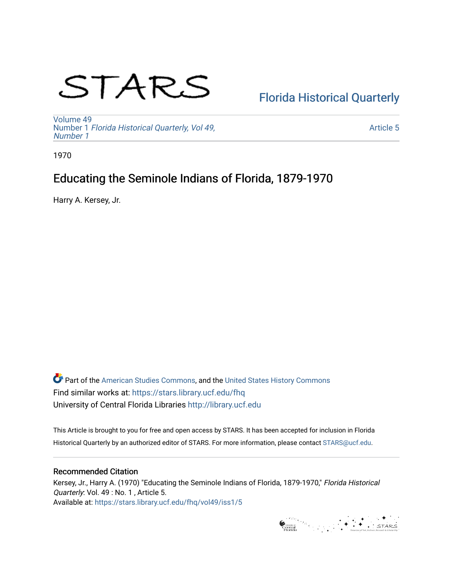# STARS

# [Florida Historical Quarterly](https://stars.library.ucf.edu/fhq)

[Volume 49](https://stars.library.ucf.edu/fhq/vol49) Number 1 [Florida Historical Quarterly, Vol 49,](https://stars.library.ucf.edu/fhq/vol49/iss1)  [Number 1](https://stars.library.ucf.edu/fhq/vol49/iss1)

[Article 5](https://stars.library.ucf.edu/fhq/vol49/iss1/5) 

1970

## Educating the Seminole Indians of Florida, 1879-1970

Harry A. Kersey, Jr.

**C** Part of the [American Studies Commons](http://network.bepress.com/hgg/discipline/439?utm_source=stars.library.ucf.edu%2Ffhq%2Fvol49%2Fiss1%2F5&utm_medium=PDF&utm_campaign=PDFCoverPages), and the United States History Commons Find similar works at: <https://stars.library.ucf.edu/fhq> University of Central Florida Libraries [http://library.ucf.edu](http://library.ucf.edu/) 

This Article is brought to you for free and open access by STARS. It has been accepted for inclusion in Florida Historical Quarterly by an authorized editor of STARS. For more information, please contact [STARS@ucf.edu.](mailto:STARS@ucf.edu)

## Recommended Citation

Kersey, Jr., Harry A. (1970) "Educating the Seminole Indians of Florida, 1879-1970," Florida Historical Quarterly: Vol. 49 : No. 1, Article 5. Available at: [https://stars.library.ucf.edu/fhq/vol49/iss1/5](https://stars.library.ucf.edu/fhq/vol49/iss1/5?utm_source=stars.library.ucf.edu%2Ffhq%2Fvol49%2Fiss1%2F5&utm_medium=PDF&utm_campaign=PDFCoverPages) 

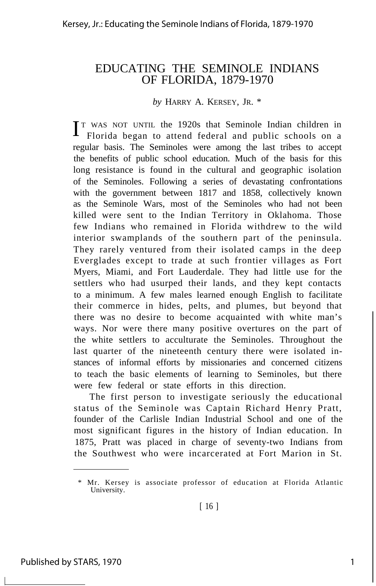#### *by* HARRY A. KERSEY, JR. \*

IT WAS NOT UNTIL the 1920s that Seminole Indian children in<br>Florida began to attend federal and public schools on a T WAS NOT UNTIL the 1920s that Seminole Indian children in regular basis. The Seminoles were among the last tribes to accept the benefits of public school education. Much of the basis for this long resistance is found in the cultural and geographic isolation of the Seminoles. Following a series of devastating confrontations with the government between 1817 and 1858, collectively known as the Seminole Wars, most of the Seminoles who had not been killed were sent to the Indian Territory in Oklahoma. Those few Indians who remained in Florida withdrew to the wild interior swamplands of the southern part of the peninsula. They rarely ventured from their isolated camps in the deep Everglades except to trade at such frontier villages as Fort Myers, Miami, and Fort Lauderdale. They had little use for the settlers who had usurped their lands, and they kept contacts to a minimum. A few males learned enough English to facilitate their commerce in hides, pelts, and plumes, but beyond that there was no desire to become acquainted with white man's ways. Nor were there many positive overtures on the part of the white settlers to acculturate the Seminoles. Throughout the last quarter of the nineteenth century there were isolated instances of informal efforts by missionaries and concerned citizens to teach the basic elements of learning to Seminoles, but there were few federal or state efforts in this direction.

The first person to investigate seriously the educational status of the Seminole was Captain Richard Henry Pratt, founder of the Carlisle Indian Industrial School and one of the most significant figures in the history of Indian education. In 1875, Pratt was placed in charge of seventy-two Indians from the Southwest who were incarcerated at Fort Marion in St.

<sup>\*</sup> Mr. Kersey is associate professor of education at Florida Atlantic University.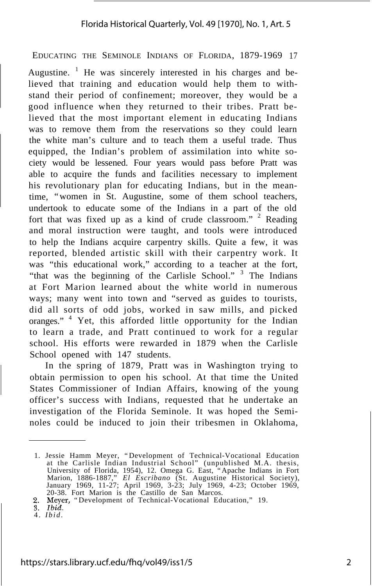Augustine.  $\frac{1}{1}$  He was sincerely interested in his charges and believed that training and education would help them to withstand their period of confinement; moreover, they would be a good influence when they returned to their tribes. Pratt believed that the most important element in educating Indians was to remove them from the reservations so they could learn the white man's culture and to teach them a useful trade. Thus equipped, the Indian's problem of assimilation into white society would be lessened. Four years would pass before Pratt was able to acquire the funds and facilities necessary to implement his revolutionary plan for educating Indians, but in the meantime, "women in St. Augustine, some of them school teachers, undertook to educate some of the Indians in a part of the old fort that was fixed up as a kind of crude classroom."  $2$  Reading and moral instruction were taught, and tools were introduced to help the Indians acquire carpentry skills. Quite a few, it was reported, blended artistic skill with their carpentry work. It was "this educational work," according to a teacher at the fort, "that was the beginning of the Carlisle School."  $3$  The Indians at Fort Marion learned about the white world in numerous ways; many went into town and "served as guides to tourists, did all sorts of odd jobs, worked in saw mills, and picked oranges." <sup>4</sup> Yet, this afforded little opportunity for the Indian to learn a trade, and Pratt continued to work for a regular school. His efforts were rewarded in 1879 when the Carlisle School opened with 147 students.

In the spring of 1879, Pratt was in Washington trying to obtain permission to open his school. At that time the United States Commissioner of Indian Affairs, knowing of the young officer's success with Indians, requested that he undertake an investigation of the Florida Seminole. It was hoped the Seminoles could be induced to join their tribesmen in Oklahoma,

<sup>1.</sup> Jessie Hamm Meyer, "Development of Technical-Vocational Education at the Carlisle Indian Industrial School" (unpublished M.A. thesis, University of Florida, 1954), 12. Omega G. East, "Apache Indians in Fort Marion, 1886-1887," El Escribano (St. Augustine Historical Society), January 1969

<sup>&</sup>quot;Development of Technical-Vocational Education," 19.

<sup>4.</sup> *Ibid .*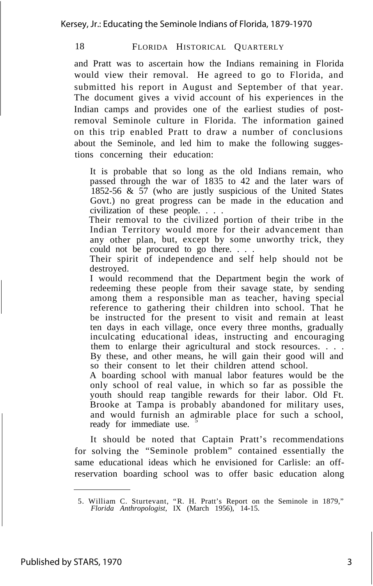and Pratt was to ascertain how the Indians remaining in Florida would view their removal. He agreed to go to Florida, and submitted his report in August and September of that year. The document gives a vivid account of his experiences in the Indian camps and provides one of the earliest studies of postremoval Seminole culture in Florida. The information gained on this trip enabled Pratt to draw a number of conclusions about the Seminole, and led him to make the following suggestions concerning their education:

It is probable that so long as the old Indians remain, who passed through the war of 1835 to 42 and the later wars of 1852-56 & 57 (who are justly suspicious of the United States Govt.) no great progress can be made in the education and civilization of these people. . . .

Their removal to the civilized portion of their tribe in the Indian Territory would more for their advancement than any other plan, but, except by some unworthy trick, they could not be procured to go there. . . .

Their spirit of independence and self help should not be destroyed.

I would recommend that the Department begin the work of redeeming these people from their savage state, by sending among them a responsible man as teacher, having special reference to gathering their children into school. That he be instructed for the present to visit and remain at least ten days in each village, once every three months, gradually inculcating educational ideas, instructing and encouraging them to enlarge their agricultural and stock resources. . . . By these, and other means, he will gain their good will and so their consent to let their children attend school.

A boarding school with manual labor features would be the only school of real value, in which so far as possible the youth should reap tangible rewards for their labor. Old Ft. Brooke at Tampa is probably abandoned for military uses, and would furnish an admirable place for such a school, ready for immediate use.<sup>5</sup>

It should be noted that Captain Pratt's recommendations for solving the "Seminole problem" contained essentially the same educational ideas which he envisioned for Carlisle: an offreservation boarding school was to offer basic education along

<sup>5.</sup> William C. Sturtevant, "R. H. Pratt's Report on the Seminole in 1879," *Florida Anthropologist,* IX (March 1956), 14-15.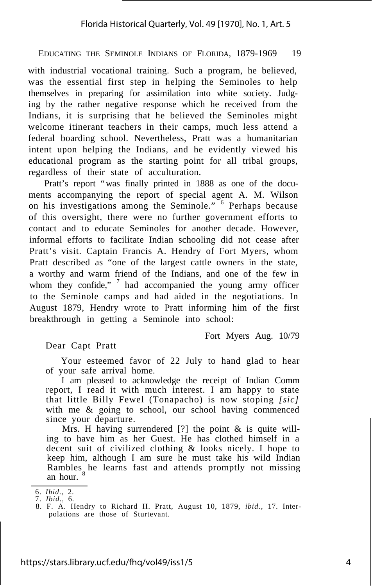with industrial vocational training. Such a program, he believed, was the essential first step in helping the Seminoles to help themselves in preparing for assimilation into white society. Judging by the rather negative response which he received from the Indians, it is surprising that he believed the Seminoles might welcome itinerant teachers in their camps, much less attend a federal boarding school. Nevertheless, Pratt was a humanitarian intent upon helping the Indians, and he evidently viewed his educational program as the starting point for all tribal groups, regardless of their state of acculturation.

Pratt's report "was finally printed in 1888 as one of the documents accompanying the report of special agent A. M. Wilson on his investigations among the Seminole." <sup>6</sup> Perhaps because of this oversight, there were no further government efforts to contact and to educate Seminoles for another decade. However, informal efforts to facilitate Indian schooling did not cease after Pratt's visit. Captain Francis A. Hendry of Fort Myers, whom Pratt described as "one of the largest cattle owners in the state, a worthy and warm friend of the Indians, and one of the few in whom they confide,"  $\frac{7}{1}$  had accompanied the young army officer to the Seminole camps and had aided in the negotiations. In August 1879, Hendry wrote to Pratt informing him of the first breakthrough in getting a Seminole into school:

Fort Myers Aug. 10/79

Dear Capt Pratt

Your esteemed favor of 22 July to hand glad to hear of your safe arrival home.

I am pleased to acknowledge the receipt of Indian Comm report, I read it with much interest. I am happy to state that little Billy Fewel (Tonapacho) is now stoping *[sic]* with me & going to school, our school having commenced since your departure.

Mrs. H having surrendered  $[?]$  the point & is quite willing to have him as her Guest. He has clothed himself in a decent suit of civilized clothing & looks nicely. I hope to keep him, although I am sure he must take his wild Indian Rambles he learns fast and attends promptly not missing an hour.

<sup>6.</sup> *Ibid.,* 2. 7. *Ibid.,* 6.

<sup>8.</sup> F. A. Hendry to Richard H. Pratt, August 10, 1879, *ibid.,* 17. Interpolations are those of Sturtevant.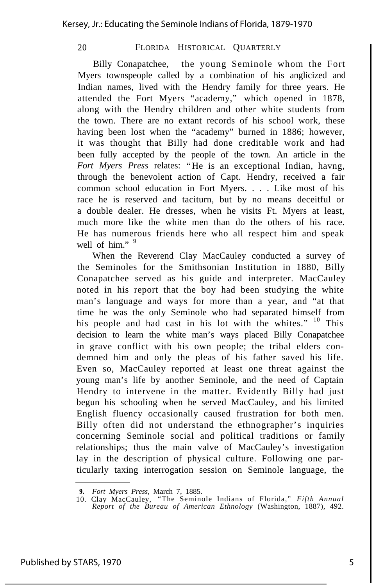Billy Conapatchee, the young Seminole whom the Fort Myers townspeople called by a combination of his anglicized and Indian names, lived with the Hendry family for three years. He attended the Fort Myers "academy," which opened in 1878, along with the Hendry children and other white students from the town. There are no extant records of his school work, these having been lost when the "academy" burned in 1886; however, it was thought that Billy had done creditable work and had been fully accepted by the people of the town. An article in the *Fort Myers Press* relates: "He is an exceptional Indian, havng, through the benevolent action of Capt. Hendry, received a fair common school education in Fort Myers. . . . Like most of his race he is reserved and taciturn, but by no means deceitful or a double dealer. He dresses, when he visits Ft. Myers at least, much more like the white men than do the others of his race. He has numerous friends here who all respect him and speak well of him." 9

When the Reverend Clay MacCauley conducted a survey of the Seminoles for the Smithsonian Institution in 1880, Billy Conapatchee served as his guide and interpreter. MacCauley noted in his report that the boy had been studying the white man's language and ways for more than a year, and "at that time he was the only Seminole who had separated himself from his people and had cast in his lot with the whites."  $10$  This decision to learn the white man's ways placed Billy Conapatchee in grave conflict with his own people; the tribal elders condemned him and only the pleas of his father saved his life. Even so, MacCauley reported at least one threat against the young man's life by another Seminole, and the need of Captain Hendry to intervene in the matter. Evidently Billy had just begun his schooling when he served MacCauley, and his limited English fluency occasionally caused frustration for both men. Billy often did not understand the ethnographer's inquiries concerning Seminole social and political traditions or family relationships; thus the main valve of MacCauley's investigation lay in the description of physical culture. Following one particularly taxing interrogation session on Seminole language, the

**<sup>9.</sup>** *Fort Myers Press,* March 7, 1885.

<sup>10.</sup> Clay MacCauley, "The Seminole Indians of Florida," *Fifth Annual Report of the Bureau of American Ethnology* (Washington, 1887), 492.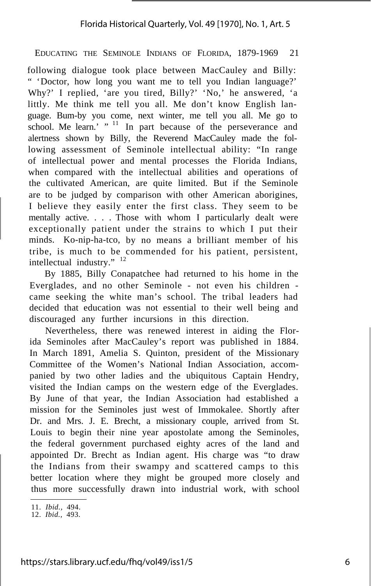following dialogue took place between MacCauley and Billy: " 'Doctor, how long you want me to tell you Indian language?' Why?' I replied, 'are you tired, Billy?' 'No,' he answered, 'a littly. Me think me tell you all. Me don't know English language. Bum-by you come, next winter, me tell you all. Me go to school. Me learn.'  $"$  <sup>11</sup> In part because of the perseverance and alertness shown by Billy, the Reverend MacCauley made the following assessment of Seminole intellectual ability: "In range of intellectual power and mental processes the Florida Indians, when compared with the intellectual abilities and operations of the cultivated American, are quite limited. But if the Seminole are to be judged by comparison with other American aborigines, I believe they easily enter the first class. They seem to be mentally active. . . . Those with whom I particularly dealt were exceptionally patient under the strains to which I put their minds. Ko-nip-ha-tco, by no means a brilliant member of his tribe, is much to be commended for his patient, persistent, intellectual industry." <sup>12</sup>

By 1885, Billy Conapatchee had returned to his home in the Everglades, and no other Seminole - not even his children came seeking the white man's school. The tribal leaders had decided that education was not essential to their well being and discouraged any further incursions in this direction.

Nevertheless, there was renewed interest in aiding the Florida Seminoles after MacCauley's report was published in 1884. In March 1891, Amelia S. Quinton, president of the Missionary Committee of the Women's National Indian Association, accompanied by two other ladies and the ubiquitous Captain Hendry, visited the Indian camps on the western edge of the Everglades. By June of that year, the Indian Association had established a mission for the Seminoles just west of Immokalee. Shortly after Dr. and Mrs. J. E. Brecht, a missionary couple, arrived from St. Louis to begin their nine year apostolate among the Seminoles, the federal government purchased eighty acres of the land and appointed Dr. Brecht as Indian agent. His charge was "to draw the Indians from their swampy and scattered camps to this better location where they might be grouped more closely and thus more successfully drawn into industrial work, with school

<sup>11.</sup> *Ibid.,* 494.

<sup>12.</sup> *Ibid.,* 493.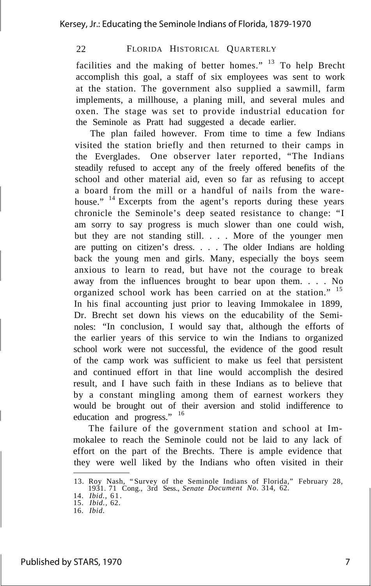facilities and the making of better homes." <sup>13</sup> To help Brecht accomplish this goal, a staff of six employees was sent to work at the station. The government also supplied a sawmill, farm implements, a millhouse, a planing mill, and several mules and oxen. The stage was set to provide industrial education for the Seminole as Pratt had suggested a decade earlier.

The plan failed however. From time to time a few Indians visited the station briefly and then returned to their camps in the Everglades. One observer later reported, "The Indians steadily refused to accept any of the freely offered benefits of the school and other material aid, even so far as refusing to accept a board from the mill or a handful of nails from the warehouse." <sup>14</sup> Excerpts from the agent's reports during these years chronicle the Seminole's deep seated resistance to change: "I am sorry to say progress is much slower than one could wish, but they are not standing still. . . . More of the younger men are putting on citizen's dress. . . . The older Indians are holding back the young men and girls. Many, especially the boys seem anxious to learn to read, but have not the courage to break away from the influences brought to bear upon them. . . . No organized school work has been carried on at the station." <sup>15</sup> In his final accounting just prior to leaving Immokalee in 1899, Dr. Brecht set down his views on the educability of the Seminoles: "In conclusion, I would say that, although the efforts of the earlier years of this service to win the Indians to organized school work were not successful, the evidence of the good result of the camp work was sufficient to make us feel that persistent and continued effort in that line would accomplish the desired result, and I have such faith in these Indians as to believe that by a constant mingling among them of earnest workers they would be brought out of their aversion and stolid indifference to education and progress." <sup>16</sup>

The failure of the government station and school at Immokalee to reach the Seminole could not be laid to any lack of effort on the part of the Brechts. There is ample evidence that they were well liked by the Indians who often visited in their

<sup>13.</sup> Roy Nash, "Survey of the Seminole Indians of Florida," February 28, 1931. 71 Cong., 3rd Sess., *Senate Document No.* 314, 62.

<sup>14.</sup> *Ibid.*, 61.<br>15. *Ibid.*, 62.

<sup>16.</sup> *Ibid.*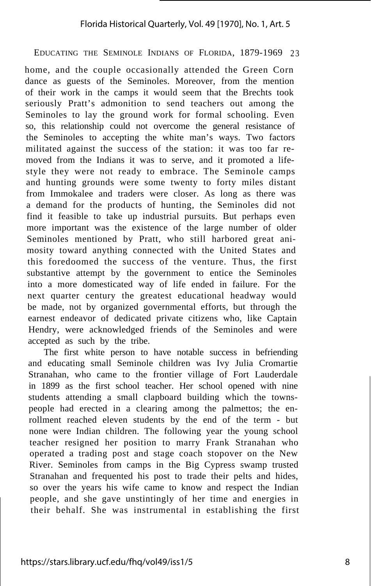home, and the couple occasionally attended the Green Corn dance as guests of the Seminoles. Moreover, from the mention of their work in the camps it would seem that the Brechts took seriously Pratt's admonition to send teachers out among the Seminoles to lay the ground work for formal schooling. Even so, this relationship could not overcome the general resistance of the Seminoles to accepting the white man's ways. Two factors militated against the success of the station: it was too far removed from the Indians it was to serve, and it promoted a lifestyle they were not ready to embrace. The Seminole camps and hunting grounds were some twenty to forty miles distant from Immokalee and traders were closer. As long as there was a demand for the products of hunting, the Seminoles did not find it feasible to take up industrial pursuits. But perhaps even more important was the existence of the large number of older Seminoles mentioned by Pratt, who still harbored great animosity toward anything connected with the United States and this foredoomed the success of the venture. Thus, the first substantive attempt by the government to entice the Seminoles into a more domesticated way of life ended in failure. For the next quarter century the greatest educational headway would be made, not by organized governmental efforts, but through the earnest endeavor of dedicated private citizens who, like Captain Hendry, were acknowledged friends of the Seminoles and were accepted as such by the tribe.

The first white person to have notable success in befriending and educating small Seminole children was Ivy Julia Cromartie Stranahan, who came to the frontier village of Fort Lauderdale in 1899 as the first school teacher. Her school opened with nine students attending a small clapboard building which the townspeople had erected in a clearing among the palmettos; the enrollment reached eleven students by the end of the term - but none were Indian children. The following year the young school teacher resigned her position to marry Frank Stranahan who operated a trading post and stage coach stopover on the New River. Seminoles from camps in the Big Cypress swamp trusted Stranahan and frequented his post to trade their pelts and hides, so over the years his wife came to know and respect the Indian people, and she gave unstintingly of her time and energies in their behalf. She was instrumental in establishing the first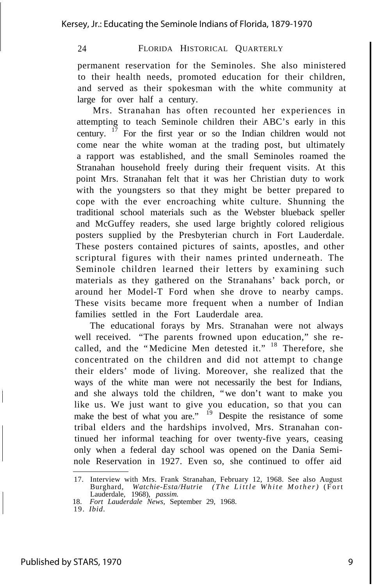permanent reservation for the Seminoles. She also ministered to their health needs, promoted education for their children, and served as their spokesman with the white community at large for over half a century.

Mrs. Stranahan has often recounted her experiences in attempting to teach Seminole children their ABC's early in this century. <sup>17</sup> For the first year or so the Indian children would not come near the white woman at the trading post, but ultimately a rapport was established, and the small Seminoles roamed the Stranahan household freely during their frequent visits. At this point Mrs. Stranahan felt that it was her Christian duty to work with the youngsters so that they might be better prepared to cope with the ever encroaching white culture. Shunning the traditional school materials such as the Webster blueback speller and McGuffey readers, she used large brightly colored religious posters supplied by the Presbyterian church in Fort Lauderdale. These posters contained pictures of saints, apostles, and other scriptural figures with their names printed underneath. The Seminole children learned their letters by examining such materials as they gathered on the Stranahans' back porch, or around her Model-T Ford when she drove to nearby camps. These visits became more frequent when a number of Indian families settled in the Fort Lauderdale area.

The educational forays by Mrs. Stranahan were not always well received. "The parents frowned upon education," she recalled, and the "Medicine Men detested it." <sup>18</sup> Therefore, she concentrated on the children and did not attempt to change their elders' mode of living. Moreover, she realized that the ways of the white man were not necessarily the best for Indians, and she always told the children, "we don't want to make you like us. We just want to give you education, so that you can make the best of what you are."  $19$  Despite the resistance of some tribal elders and the hardships involved, Mrs. Stranahan continued her informal teaching for over twenty-five years, ceasing only when a federal day school was opened on the Dania Seminole Reservation in 1927. Even so, she continued to offer aid

<sup>17.</sup> Interview with Mrs. Frank Stranahan, February 12, 1968. See also August Burghard, *Watchie-Esta/Hutrie (The Little White Mother)* (Fort Lauderdale, 1968), *passim.*

<sup>18.</sup> *Fort Lauderdale News,* September 29, 1968.

<sup>19.</sup> *Ibid.*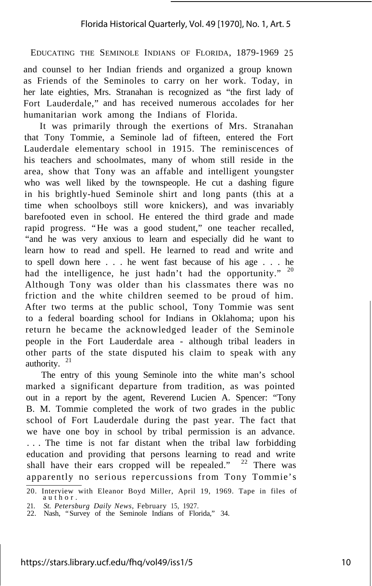#### Florida Historical Quarterly, Vol. 49 [1970], No. 1, Art. 5

EDUCATING THE SEMINOLE INDIANS OF FLORIDA, 1879-1969 25

and counsel to her Indian friends and organized a group known as Friends of the Seminoles to carry on her work. Today, in her late eighties, Mrs. Stranahan is recognized as "the first lady of Fort Lauderdale," and has received numerous accolades for her humanitarian work among the Indians of Florida.

It was primarily through the exertions of Mrs. Stranahan that Tony Tommie, a Seminole lad of fifteen, entered the Fort Lauderdale elementary school in 1915. The reminiscences of his teachers and schoolmates, many of whom still reside in the area, show that Tony was an affable and intelligent youngster who was well liked by the townspeople. He cut a dashing figure in his brightly-hued Seminole shirt and long pants (this at a time when schoolboys still wore knickers), and was invariably barefooted even in school. He entered the third grade and made rapid progress. "He was a good student," one teacher recalled, "and he was very anxious to learn and especially did he want to learn how to read and spell. He learned to read and write and to spell down here . . . he went fast because of his age . . . he had the intelligence, he just hadn't had the opportunity."  $20$ Although Tony was older than his classmates there was no friction and the white children seemed to be proud of him. After two terms at the public school, Tony Tommie was sent to a federal boarding school for Indians in Oklahoma; upon his return he became the acknowledged leader of the Seminole people in the Fort Lauderdale area - although tribal leaders in other parts of the state disputed his claim to speak with any authority.<sup>21</sup>

The entry of this young Seminole into the white man's school marked a significant departure from tradition, as was pointed out in a report by the agent, Reverend Lucien A. Spencer: "Tony B. M. Tommie completed the work of two grades in the public school of Fort Lauderdale during the past year. The fact that we have one boy in school by tribal permission is an advance. . . . The time is not far distant when the tribal law forbidding education and providing that persons learning to read and write shall have their ears cropped will be repealed."  $22$  There was apparently no serious repercussions from Tony Tommie's

<sup>20.</sup> Interview with Eleanor Boyd Miller, April 19, 1969. Tape in files of author.

<sup>21.</sup> *St. Petersburg Daily News,* February 15, 1927. 22. Nash, "Survey of the Seminole Indians of Florida," 34.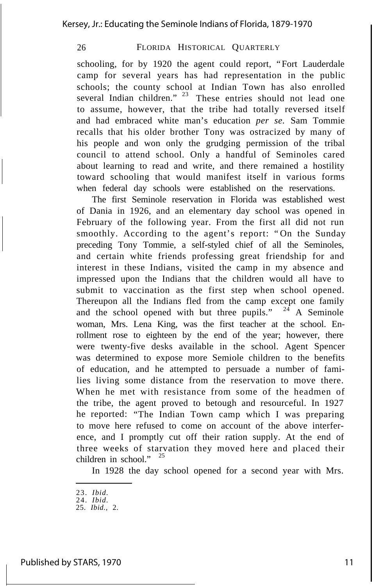schooling, for by 1920 the agent could report, "Fort Lauderdale camp for several years has had representation in the public schools; the county school at Indian Town has also enrolled several Indian children."  $23$  These entries should not lead one to assume, however, that the tribe had totally reversed itself and had embraced white man's education *per se.* Sam Tommie recalls that his older brother Tony was ostracized by many of his people and won only the grudging permission of the tribal council to attend school. Only a handful of Seminoles cared about learning to read and write, and there remained a hostility toward schooling that would manifest itself in various forms when federal day schools were established on the reservations.

The first Seminole reservation in Florida was established west of Dania in 1926, and an elementary day school was opened in February of the following year. From the first all did not run smoothly. According to the agent's report: "On the Sunday preceding Tony Tommie, a self-styled chief of all the Seminoles, and certain white friends professing great friendship for and interest in these Indians, visited the camp in my absence and impressed upon the Indians that the children would all have to submit to vaccination as the first step when school opened. Thereupon all the Indians fled from the camp except one family and the school opened with but three pupils."  $24$  A Seminole woman, Mrs. Lena King, was the first teacher at the school. Enrollment rose to eighteen by the end of the year; however, there were twenty-five desks available in the school. Agent Spencer was determined to expose more Semiole children to the benefits of education, and he attempted to persuade a number of families living some distance from the reservation to move there. When he met with resistance from some of the headmen of the tribe, the agent proved to betough and resourceful. In 1927 he reported: "The Indian Town camp which I was preparing to move here refused to come on account of the above interference, and I promptly cut off their ration supply. At the end of three weeks of starvation they moved here and placed their children in school."  $25$ 

In 1928 the day school opened for a second year with Mrs.

<sup>23.</sup> *Ibid.*

<sup>24.</sup> *Ibid.* 25. *Ibid.,* 2.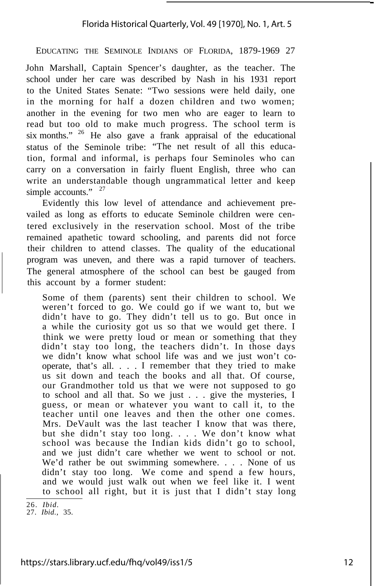#### Florida Historical Quarterly, Vol. 49 [1970], No. 1, Art. 5

EDUCATING THE SEMINOLE INDIANS OF FLORIDA, 1879-1969 27

John Marshall, Captain Spencer's daughter, as the teacher. The school under her care was described by Nash in his 1931 report to the United States Senate: "Two sessions were held daily, one in the morning for half a dozen children and two women; another in the evening for two men who are eager to learn to read but too old to make much progress. The school term is six months." <sup>26</sup> He also gave a frank appraisal of the educational status of the Seminole tribe: "The net result of all this education, formal and informal, is perhaps four Seminoles who can carry on a conversation in fairly fluent English, three who can write an understandable though ungrammatical letter and keep simple accounts." <sup>27</sup>

Evidently this low level of attendance and achievement prevailed as long as efforts to educate Seminole children were centered exclusively in the reservation school. Most of the tribe remained apathetic toward schooling, and parents did not force their children to attend classes. The quality of the educational program was uneven, and there was a rapid turnover of teachers. The general atmosphere of the school can best be gauged from this account by a former student:

Some of them (parents) sent their children to school. We weren't forced to go. We could go if we want to, but we didn't have to go. They didn't tell us to go. But once in a while the curiosity got us so that we would get there. I think we were pretty loud or mean or something that they didn't stay too long, the teachers didn't. In those days we didn't know what school life was and we just won't cooperate, that's all. . . . I remember that they tried to make us sit down and teach the books and all that. Of course, our Grandmother told us that we were not supposed to go to school and all that. So we just . . . give the mysteries, I guess, or mean or whatever you want to call it, to the teacher until one leaves and then the other one comes. Mrs. DeVault was the last teacher I know that was there, but she didn't stay too long. . . . We don't know what school was because the Indian kids didn't go to school, and we just didn't care whether we went to school or not. We'd rather be out swimming somewhere. . . . None of us didn't stay too long. We come and spend a few hours, and we would just walk out when we feel like it. I went to school all right, but it is just that I didn't stay long

<sup>26.</sup> *Ibid.*

<sup>27.</sup> *Ibid.,* 35.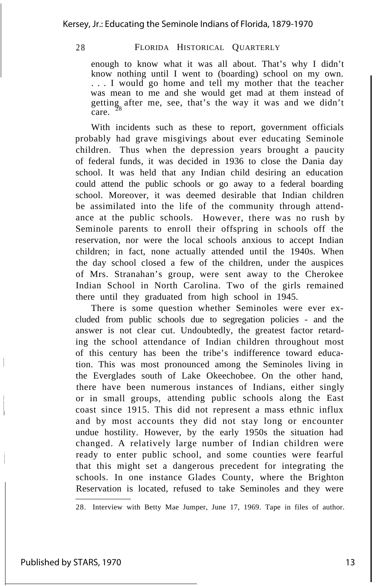enough to know what it was all about. That's why I didn't know nothing until I went to (boarding) school on my own. . . . I would go home and tell my mother that the teacher was mean to me and she would get mad at them instead of getting after me, see, that's the way it was and we didn't care.

With incidents such as these to report, government officials probably had grave misgivings about ever educating Seminole children. Thus when the depression years brought a paucity of federal funds, it was decided in 1936 to close the Dania day school. It was held that any Indian child desiring an education could attend the public schools or go away to a federal boarding school. Moreover, it was deemed desirable that Indian children be assimilated into the life of the community through attendance at the public schools. However, there was no rush by Seminole parents to enroll their offspring in schools off the reservation, nor were the local schools anxious to accept Indian children; in fact, none actually attended until the 1940s. When the day school closed a few of the children, under the auspices of Mrs. Stranahan's group, were sent away to the Cherokee Indian School in North Carolina. Two of the girls remained there until they graduated from high school in 1945.

There is some question whether Seminoles were ever excluded from public schools due to segregation policies - and the answer is not clear cut. Undoubtedly, the greatest factor retarding the school attendance of Indian children throughout most of this century has been the tribe's indifference toward education. This was most pronounced among the Seminoles living in the Everglades south of Lake Okeechobee. On the other hand, there have been numerous instances of Indians, either singly or in small groups, attending public schools along the East coast since 1915. This did not represent a mass ethnic influx and by most accounts they did not stay long or encounter undue hostility. However, by the early 1950s the situation had changed. A relatively large number of Indian children were ready to enter public school, and some counties were fearful that this might set a dangerous precedent for integrating the schools. In one instance Glades County, where the Brighton Reservation is located, refused to take Seminoles and they were

28. Interview with Betty Mae Jumper, June 17, 1969. Tape in files of author.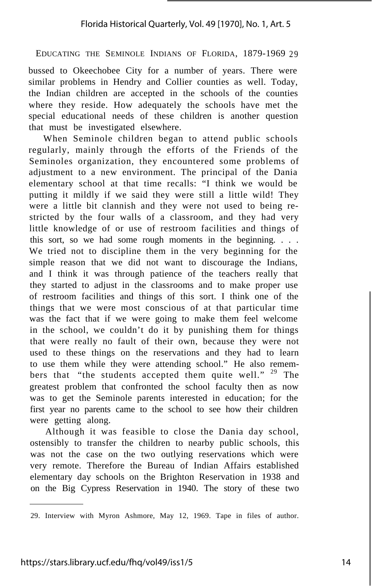bussed to Okeechobee City for a number of years. There were similar problems in Hendry and Collier counties as well. Today, the Indian children are accepted in the schools of the counties where they reside. How adequately the schools have met the special educational needs of these children is another question that must be investigated elsewhere.

When Seminole children began to attend public schools regularly, mainly through the efforts of the Friends of the Seminoles organization, they encountered some problems of adjustment to a new environment. The principal of the Dania elementary school at that time recalls: "I think we would be putting it mildly if we said they were still a little wild! They were a little bit clannish and they were not used to being restricted by the four walls of a classroom, and they had very little knowledge of or use of restroom facilities and things of this sort, so we had some rough moments in the beginning. . . . We tried not to discipline them in the very beginning for the simple reason that we did not want to discourage the Indians, and I think it was through patience of the teachers really that they started to adjust in the classrooms and to make proper use of restroom facilities and things of this sort. I think one of the things that we were most conscious of at that particular time was the fact that if we were going to make them feel welcome in the school, we couldn't do it by punishing them for things that were really no fault of their own, because they were not used to these things on the reservations and they had to learn to use them while they were attending school." He also remembers that "the students accepted them quite well."  $29$  The greatest problem that confronted the school faculty then as now was to get the Seminole parents interested in education; for the first year no parents came to the school to see how their children were getting along.

Although it was feasible to close the Dania day school, ostensibly to transfer the children to nearby public schools, this was not the case on the two outlying reservations which were very remote. Therefore the Bureau of Indian Affairs established elementary day schools on the Brighton Reservation in 1938 and on the Big Cypress Reservation in 1940. The story of these two

<sup>29.</sup> Interview with Myron Ashmore, May 12, 1969. Tape in files of author.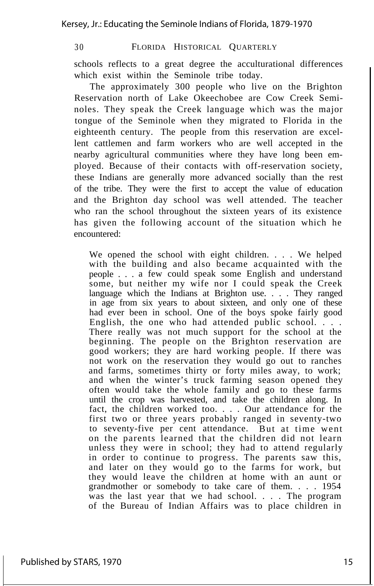schools reflects to a great degree the acculturational differences which exist within the Seminole tribe today.

The approximately 300 people who live on the Brighton Reservation north of Lake Okeechobee are Cow Creek Seminoles. They speak the Creek language which was the major tongue of the Seminole when they migrated to Florida in the eighteenth century. The people from this reservation are excellent cattlemen and farm workers who are well accepted in the nearby agricultural communities where they have long been employed. Because of their contacts with off-reservation society, these Indians are generally more advanced socially than the rest of the tribe. They were the first to accept the value of education and the Brighton day school was well attended. The teacher who ran the school throughout the sixteen years of its existence has given the following account of the situation which he encountered:

We opened the school with eight children. . . . We helped with the building and also became acquainted with the people . . . a few could speak some English and understand some, but neither my wife nor I could speak the Creek language which the Indians at Brighton use. . . . They ranged in age from six years to about sixteen, and only one of these had ever been in school. One of the boys spoke fairly good English, the one who had attended public school. . . . There really was not much support for the school at the beginning. The people on the Brighton reservation are good workers; they are hard working people. If there was not work on the reservation they would go out to ranches and farms, sometimes thirty or forty miles away, to work; and when the winter's truck farming season opened they often would take the whole family and go to these farms until the crop was harvested, and take the children along. In fact, the children worked too. . . . Our attendance for the first two or three years probably ranged in seventy-two to seventy-five per cent attendance. But at time went on the parents learned that the children did not learn unless they were in school; they had to attend regularly in order to continue to progress. The parents saw this, and later on they would go to the farms for work, but they would leave the children at home with an aunt or grandmother or somebody to take care of them. . . . 1954 was the last year that we had school. . . . The program of the Bureau of Indian Affairs was to place children in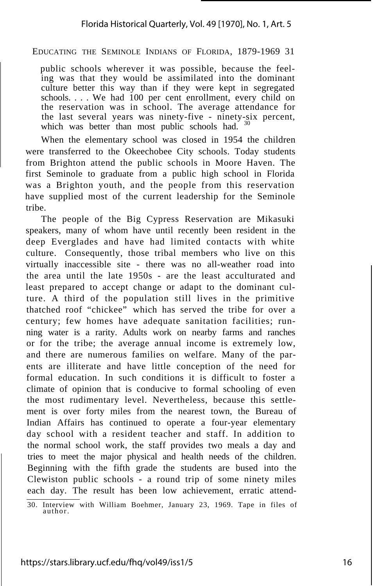public schools wherever it was possible, because the feeling was that they would be assimilated into the dominant culture better this way than if they were kept in segregated schools. . . . We had 100 per cent enrollment, every child on the reservation was in school. The average attendance for the last several years was ninety-five - ninety-six percent, which was better than most public schools had.

When the elementary school was closed in 1954 the children were transferred to the Okeechobee City schools. Today students from Brighton attend the public schools in Moore Haven. The first Seminole to graduate from a public high school in Florida was a Brighton youth, and the people from this reservation have supplied most of the current leadership for the Seminole tribe.

The people of the Big Cypress Reservation are Mikasuki speakers, many of whom have until recently been resident in the deep Everglades and have had limited contacts with white culture. Consequently, those tribal members who live on this virtually inaccessible site - there was no all-weather road into the area until the late 1950s - are the least acculturated and least prepared to accept change or adapt to the dominant culture. A third of the population still lives in the primitive thatched roof "chickee" which has served the tribe for over a century; few homes have adequate sanitation facilities; running water is a rarity. Adults work on nearby farms and ranches or for the tribe; the average annual income is extremely low, and there are numerous families on welfare. Many of the parents are illiterate and have little conception of the need for formal education. In such conditions it is difficult to foster a climate of opinion that is conducive to formal schooling of even the most rudimentary level. Nevertheless, because this settlement is over forty miles from the nearest town, the Bureau of Indian Affairs has continued to operate a four-year elementary day school with a resident teacher and staff. In addition to the normal school work, the staff provides two meals a day and tries to meet the major physical and health needs of the children. Beginning with the fifth grade the students are bused into the Clewiston public schools - a round trip of some ninety miles each day. The result has been low achievement, erratic attend-

<sup>30.</sup> Interview with William Boehmer, January 23, 1969. Tape in files of author.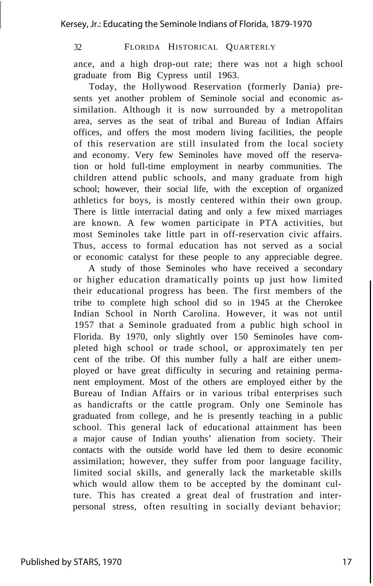ance, and a high drop-out rate; there was not a high school graduate from Big Cypress until 1963.

Today, the Hollywood Reservation (formerly Dania) presents yet another problem of Seminole social and economic assimilation. Although it is now surrounded by a metropolitan area, serves as the seat of tribal and Bureau of Indian Affairs offices, and offers the most modern living facilities, the people of this reservation are still insulated from the local society and economy. Very few Seminoles have moved off the reservation or hold full-time employment in nearby communities. The children attend public schools, and many graduate from high school; however, their social life, with the exception of organized athletics for boys, is mostly centered within their own group. There is little interracial dating and only a few mixed marriages are known. A few women participate in PTA activities, but most Seminoles take little part in off-reservation civic affairs. Thus, access to formal education has not served as a social or economic catalyst for these people to any appreciable degree.

A study of those Seminoles who have received a secondary or higher education dramatically points up just how limited their educational progress has been. The first members of the tribe to complete high school did so in 1945 at the Cherokee Indian School in North Carolina. However, it was not until 1957 that a Seminole graduated from a public high school in Florida. By 1970, only slightly over 150 Seminoles have completed high school or trade school, or approximately ten per cent of the tribe. Of this number fully a half are either unemployed or have great difficulty in securing and retaining permanent employment. Most of the others are employed either by the Bureau of Indian Affairs or in various tribal enterprises such as handicrafts or the cattle program. Only one Seminole has graduated from college, and he is presently teaching in a public school. This general lack of educational attainment has been a major cause of Indian youths' alienation from society. Their contacts with the outside world have led them to desire economic assimilation; however, they suffer from poor language facility, limited social skills, and generally lack the marketable skills which would allow them to be accepted by the dominant culture. This has created a great deal of frustration and interpersonal stress, often resulting in socially deviant behavior;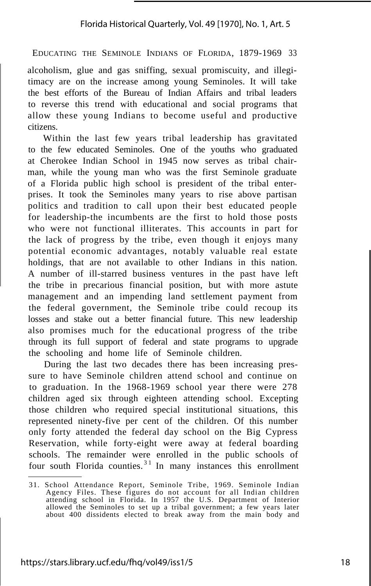#### Florida Historical Quarterly, Vol. 49 [1970], No. 1, Art. 5

EDUCATING THE SEMINOLE INDIANS OF FLORIDA, 1879-1969 33

alcoholism, glue and gas sniffing, sexual promiscuity, and illegitimacy are on the increase among young Seminoles. It will take the best efforts of the Bureau of Indian Affairs and tribal leaders to reverse this trend with educational and social programs that allow these young Indians to become useful and productive citizens.

Within the last few years tribal leadership has gravitated to the few educated Seminoles. One of the youths who graduated at Cherokee Indian School in 1945 now serves as tribal chairman, while the young man who was the first Seminole graduate of a Florida public high school is president of the tribal enterprises. It took the Seminoles many years to rise above partisan politics and tradition to call upon their best educated people for leadership-the incumbents are the first to hold those posts who were not functional illiterates. This accounts in part for the lack of progress by the tribe, even though it enjoys many potential economic advantages, notably valuable real estate holdings, that are not available to other Indians in this nation. A number of ill-starred business ventures in the past have left the tribe in precarious financial position, but with more astute management and an impending land settlement payment from the federal government, the Seminole tribe could recoup its losses and stake out a better financial future. This new leadership also promises much for the educational progress of the tribe through its full support of federal and state programs to upgrade the schooling and home life of Seminole children.

During the last two decades there has been increasing pressure to have Seminole children attend school and continue on to graduation. In the 1968-1969 school year there were 278 children aged six through eighteen attending school. Excepting those children who required special institutional situations, this represented ninety-five per cent of the children. Of this number only forty attended the federal day school on the Big Cypress Reservation, while forty-eight were away at federal boarding schools. The remainder were enrolled in the public schools of four south Florida counties.<sup>31</sup> In many instances this enrollment

<sup>31.</sup> School Attendance Report, Seminole Tribe, 1969. Seminole Indian Agency Files. These figures do not account for all Indian children attending school in Florida. In 1957 the U.S. Department of Interior allowed the Seminoles to set up a tribal government; a few years later about 400 dissidents elected to break away from the main body and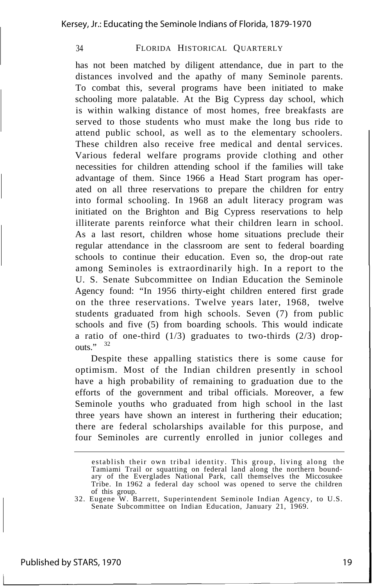has not been matched by diligent attendance, due in part to the distances involved and the apathy of many Seminole parents. To combat this, several programs have been initiated to make schooling more palatable. At the Big Cypress day school, which is within walking distance of most homes, free breakfasts are served to those students who must make the long bus ride to attend public school, as well as to the elementary schoolers. These children also receive free medical and dental services. Various federal welfare programs provide clothing and other necessities for children attending school if the families will take advantage of them. Since 1966 a Head Start program has operated on all three reservations to prepare the children for entry into formal schooling. In 1968 an adult literacy program was initiated on the Brighton and Big Cypress reservations to help illiterate parents reinforce what their children learn in school. As a last resort, children whose home situations preclude their regular attendance in the classroom are sent to federal boarding schools to continue their education. Even so, the drop-out rate among Seminoles is extraordinarily high. In a report to the U. S. Senate Subcommittee on Indian Education the Seminole Agency found: "In 1956 thirty-eight children entered first grade on the three reservations. Twelve years later, 1968, twelve students graduated from high schools. Seven (7) from public schools and five (5) from boarding schools. This would indicate a ratio of one-third  $(1/3)$  graduates to two-thirds  $(2/3)$  dropouts  $"$  32

Despite these appalling statistics there is some cause for optimism. Most of the Indian children presently in school have a high probability of remaining to graduation due to the efforts of the government and tribal officials. Moreover, a few Seminole youths who graduated from high school in the last three years have shown an interest in furthering their education; there are federal scholarships available for this purpose, and four Seminoles are currently enrolled in junior colleges and

establish their own tribal identity. This group, living along the Tamiami Trail or squatting on federal land along the northern boundary of the Everglades National Park, call themselves the Miccosukee Tribe. In 1962 a federal day school was opened to serve the children of this group.

<sup>32.</sup> Eugene W. Barrett, Superintendent Seminole Indian Agency, to U.S. Senate Subcommittee on Indian Education, January 21, 1969.